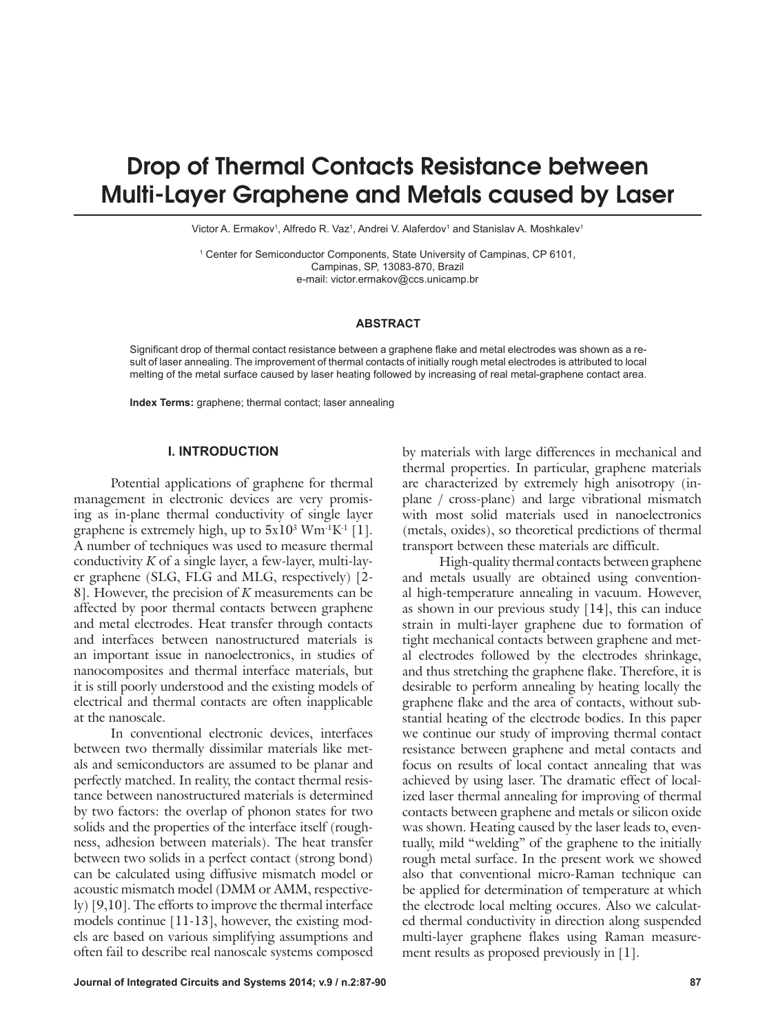# Drop of Thermal Contacts Resistance between Multi-Layer Graphene and Metals caused by Laser

Victor A. Ermakov<sup>1</sup>, Alfredo R. Vaz<sup>1</sup>, Andrei V. Alaferdov<sup>1</sup> and Stanislav A. Moshkalev<sup>1</sup>

1 Center for Semiconductor Components, State University of Campinas, CP 6101, Campinas, SP, 13083-870, Brazil e-mail: victor.ermakov@ccs.unicamp.br

### **ABSTRACT**

Significant drop of thermal contact resistance between a graphene flake and metal electrodes was shown as a result of laser annealing. The improvement of thermal contacts of initially rough metal electrodes is attributed to local melting of the metal surface caused by laser heating followed by increasing of real metal-graphene contact area.

**Index Terms:** graphene; thermal contact; laser annealing

#### **I. INTRODUCTION**

Potential applications of graphene for thermal management in electronic devices are very promising as in-plane thermal conductivity of single layer graphene is extremely high, up to  $5x10^3$   $Wm^1K^1$  [1]. A number of techniques was used to measure thermal conductivity *K* of a single layer, a few-layer, multi-layer graphene (SLG, FLG and MLG, respectively) [2- 8]. However, the precision of *K* measurements can be affected by poor thermal contacts between graphene and metal electrodes. Heat transfer through contacts and interfaces between nanostructured materials is an important issue in nanoelectronics, in studies of nanocomposites and thermal interface materials, but it is still poorly understood and the existing models of electrical and thermal contacts are often inapplicable at the nanoscale.

In conventional electronic devices, interfaces between two thermally dissimilar materials like metals and semiconductors are assumed to be planar and perfectly matched. In reality, the contact thermal resistance between nanostructured materials is determined by two factors: the overlap of phonon states for two solids and the properties of the interface itself (roughness, adhesion between materials). The heat transfer between two solids in a perfect contact (strong bond) can be calculated using diffusive mismatch model or acoustic mismatch model (DMM or AMM, respectively) [9,10]. The efforts to improve the thermal interface models continue [11-13], however, the existing models are based on various simplifying assumptions and often fail to describe real nanoscale systems composed

by materials with large differences in mechanical and thermal properties. In particular, graphene materials are characterized by extremely high anisotropy (inplane / cross-plane) and large vibrational mismatch with most solid materials used in nanoelectronics (metals, oxides), so theoretical predictions of thermal transport between these materials are difficult.

High-quality thermal contacts between graphene and metals usually are obtained using conventional high-temperature annealing in vacuum. However, as shown in our previous study [14], this can induce strain in multi-layer graphene due to formation of tight mechanical contacts between graphene and metal electrodes followed by the electrodes shrinkage, and thus stretching the graphene flake. Therefore, it is desirable to perform annealing by heating locally the graphene flake and the area of contacts, without substantial heating of the electrode bodies. In this paper we continue our study of improving thermal contact resistance between graphene and metal contacts and focus on results of local contact annealing that was achieved by using laser. The dramatic effect of localized laser thermal annealing for improving of thermal contacts between graphene and metals or silicon oxide was shown. Heating caused by the laser leads to, eventually, mild "welding" of the graphene to the initially rough metal surface. In the present work we showed also that conventional micro-Raman technique can be applied for determination of temperature at which the electrode local melting occures. Also we calculated thermal conductivity in direction along suspended multi-layer graphene flakes using Raman measurement results as proposed previously in [1].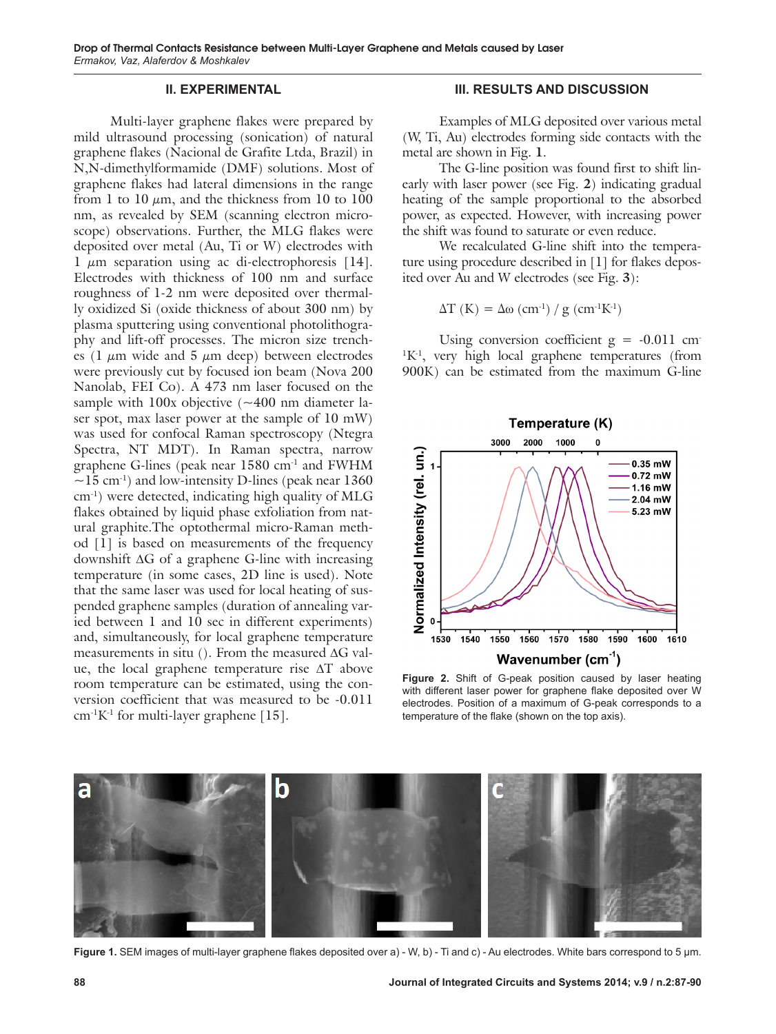### **II. EXPERIMENTAL**

Multi-layer graphene flakes were prepared by mild ultrasound processing (sonication) of natural graphene flakes (Nacional de Grafite Ltda, Brazil) in N,N-dimethylformamide (DMF) solutions. Most of graphene flakes had lateral dimensions in the range from 1 to 10  $\mu$ m, and the thickness from 10 to 100 nm, as revealed by SEM (scanning electron microscope) observations. Further, the MLG flakes were deposited over metal (Au, Ti or W) electrodes with 1  $\mu$ m separation using ac di-electrophoresis [14]. Electrodes with thickness of 100 nm and surface roughness of 1-2 nm were deposited over thermally oxidized Si (oxide thickness of about 300 nm) by plasma sputtering using conventional photolithography and lift-off processes. The micron size trenches (1  $\mu$ m wide and 5  $\mu$ m deep) between electrodes were previously cut by focused ion beam (Nova 200 Nanolab, FEI Co). A 473 nm laser focused on the sample with  $100x$  objective ( $\sim$ 400 nm diameter laser spot, max laser power at the sample of 10 mW) was used for confocal Raman spectroscopy (Ntegra Spectra, NT MDT). In Raman spectra, narrow graphene G-lines (peak near 1580 cm-1 and FWHM  $\sim$ 15 cm<sup>-1</sup>) and low-intensity D-lines (peak near 1360 cm-1) were detected, indicating high quality of MLG flakes obtained by liquid phase exfoliation from natural graphite.The optothermal micro-Raman method [1] is based on measurements of the frequency downshift  $\Delta G$  of a graphene G-line with increasing temperature (in some cases, 2D line is used). Note that the same laser was used for local heating of suspended graphene samples (duration of annealing varied between 1 and 10 sec in different experiments) and, simultaneously, for local graphene temperature measurements in situ (). From the measured  $\Delta G$  value, the local graphene temperature rise  $\Delta T$  above room temperature can be estimated, using the conversion coefficient that was measured to be -0.011  $cm<sup>-1</sup>K<sup>-1</sup>$  for multi-layer graphene [15].

## **III. RESULTS AND DISCUSSION**

Examples of MLG deposited over various metal (W, Ti, Au) electrodes forming side contacts with the metal are shown in Fig. **1**.

The G-line position was found first to shift linearly with laser power (see Fig. **2**) indicating gradual heating of the sample proportional to the absorbed power, as expected. However, with increasing power the shift was found to saturate or even reduce.

We recalculated G-line shift into the temperature using procedure described in [1] for flakes deposited over Au and W electrodes (see Fig. **3**):

$$
\Delta T (K) = \Delta \omega (cm^{-1}) / g (cm^{-1}K^{-1})
$$

Using conversion coefficient  $g = -0.011$  cm <sup>1</sup>K<sup>-1</sup>, very high local graphene temperatures (from 900K) can be estimated from the maximum G-line



**Figure 2.** Shift of G-peak position caused by laser heating with different laser power for graphene flake deposited over W electrodes. Position of a maximum of G-peak corresponds to a temperature of the flake (shown on the top axis).



**Figure 1.** SEM images of multi-layer graphene flakes deposited over a) - W, b) - Ti and c) - Au electrodes. White bars correspond to 5 μm.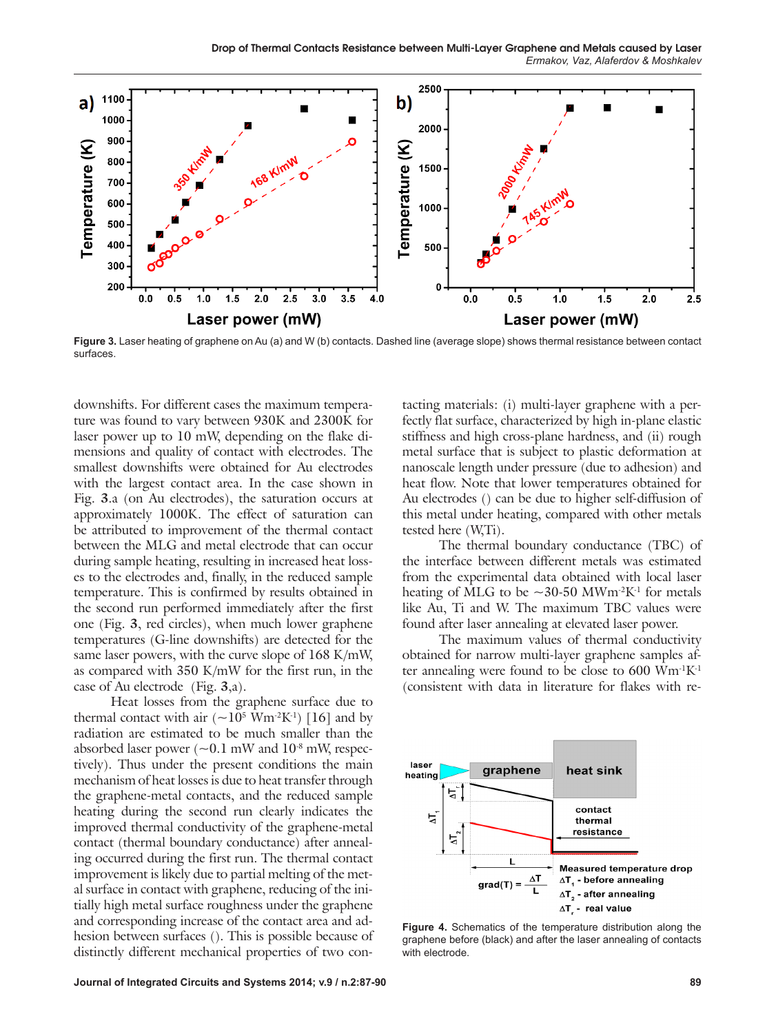

**Figure 3.** Laser heating of graphene on Au (a) and W (b) contacts. Dashed line (average slope) shows thermal resistance between contact surfaces.

downshifts. For different cases the maximum temperature was found to vary between 930K and 2300K for laser power up to 10 mW, depending on the flake dimensions and quality of contact with electrodes. The smallest downshifts were obtained for Au electrodes with the largest contact area. In the case shown in Fig. **3**.a (on Au electrodes), the saturation occurs at approximately 1000K. The effect of saturation can be attributed to improvement of the thermal contact between the MLG and metal electrode that can occur during sample heating, resulting in increased heat losses to the electrodes and, finally, in the reduced sample temperature. This is confirmed by results obtained in the second run performed immediately after the first one (Fig. **3**, red circles), when much lower graphene temperatures (G-line downshifts) are detected for the same laser powers, with the curve slope of 168 K/mW, as compared with 350 K/mW for the first run, in the case of Au electrode (Fig. **3**,a).

Heat losses from the graphene surface due to thermal contact with air  $({\sim}10^5 \text{ Wm}^2 \text{K}^1)$  [16] and by radiation are estimated to be much smaller than the absorbed laser power  $({\sim}0.1 \text{ mW}$  and  $10^{-8} \text{ mW}$ , respectively). Thus under the present conditions the main mechanism of heat losses is due to heat transfer through the graphene-metal contacts, and the reduced sample heating during the second run clearly indicates the improved thermal conductivity of the graphene-metal contact (thermal boundary conductance) after annealing occurred during the first run. The thermal contact improvement is likely due to partial melting of the metal surface in contact with graphene, reducing of the initially high metal surface roughness under the graphene and corresponding increase of the contact area and adhesion between surfaces (). This is possible because of distinctly different mechanical properties of two con-

tacting materials: (i) multi-layer graphene with a perfectly flat surface, characterized by high in-plane elastic stiffness and high cross-plane hardness, and (ii) rough metal surface that is subject to plastic deformation at nanoscale length under pressure (due to adhesion) and heat flow. Note that lower temperatures obtained for Au electrodes () can be due to higher self-diffusion of this metal under heating, compared with other metals tested here (W,Ti).

The thermal boundary conductance (TBC) of the interface between different metals was estimated from the experimental data obtained with local laser heating of MLG to be  $\sim$ 30-50 MWm<sup>-2</sup>K<sup>-1</sup> for metals like Au, Ti and W. The maximum TBC values were found after laser annealing at elevated laser power.

The maximum values of thermal conductivity obtained for narrow multi-layer graphene samples after annealing were found to be close to  $600 \text{ Wm}$ <sup>1</sup> $\text{K}$ <sup>1</sup> (consistent with data in literature for flakes with re-



**Figure 4.** Schematics of the temperature distribution along the graphene before (black) and after the laser annealing of contacts with electrode.